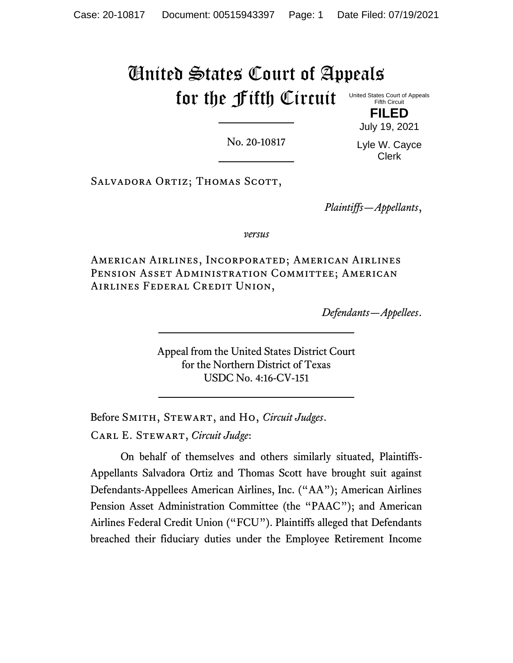### United States Court of Appeals for the Fifth Circuit United States Court of Appeals Fifth Circuit

No. 20-10817

Lyle W. Cayce Clerk

**FILED** July 19, 2021

SALVADORA ORTIZ; THOMAS SCOTT,

*Plaintiffs—Appellants*,

*versus*

American Airlines, Incorporated; American Airlines PENSION ASSET ADMINISTRATION COMMITTEE; AMERICAN Airlines Federal Credit Union,

*Defendants—Appellees*.

Appeal from the United States District Court for the Northern District of Texas USDC No. 4:16-CV-151

Before Smith, Stewart, and Ho, *Circuit Judges*. Carl E. Stewart, *Circuit Judge*:

On behalf of themselves and others similarly situated, Plaintiffs-Appellants Salvadora Ortiz and Thomas Scott have brought suit against Defendants-Appellees American Airlines, Inc. ("AA"); American Airlines Pension Asset Administration Committee (the "PAAC"); and American Airlines Federal Credit Union ("FCU"). Plaintiffs alleged that Defendants breached their fiduciary duties under the Employee Retirement Income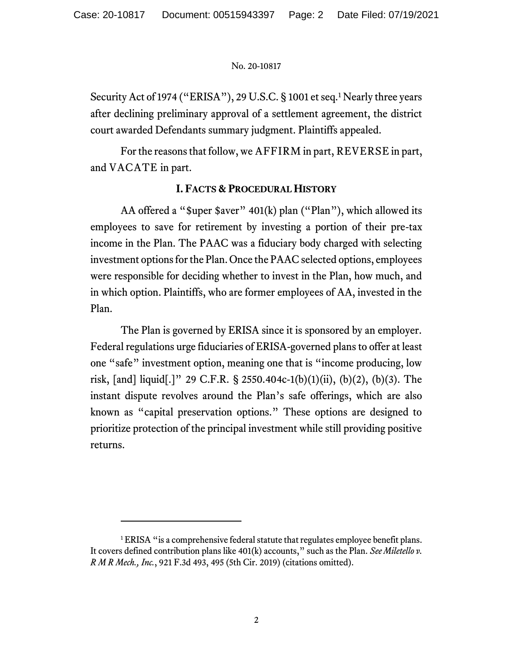Security Act of 1974 ("ERISA"), 29 U.S.C. § 1001 et seq.<sup>1</sup> Nearly three years after declining preliminary approval of a settlement agreement, the district court awarded Defendants summary judgment. Plaintiffs appealed.

For the reasons that follow, we AFFIRM in part, REVERSE in part, and VACATE in part.

# **I. FACTS & PROCEDURAL HISTORY**

AA offered a "\$uper \$aver" 401(k) plan ("Plan"), which allowed its employees to save for retirement by investing a portion of their pre-tax income in the Plan. The PAAC was a fiduciary body charged with selecting investment options for the Plan. Once the PAAC selected options, employees were responsible for deciding whether to invest in the Plan, how much, and in which option. Plaintiffs, who are former employees of AA, invested in the Plan.

The Plan is governed by ERISA since it is sponsored by an employer. Federal regulations urge fiduciaries of ERISA-governed plans to offer at least one "safe" investment option, meaning one that is "income producing, low risk, [and] liquid[.]" 29 C.F.R. § 2550.404c-1(b)(1)(ii), (b)(2), (b)(3). The instant dispute revolves around the Plan's safe offerings, which are also known as "capital preservation options." These options are designed to prioritize protection of the principal investment while still providing positive returns.

<sup>&</sup>lt;sup>1</sup> ERISA "is a comprehensive federal statute that regulates employee benefit plans. It covers defined contribution plans like 401(k) accounts," such as the Plan. *See Miletello v. R M R Mech., Inc.*, 921 F.3d 493, 495 (5th Cir. 2019) (citations omitted).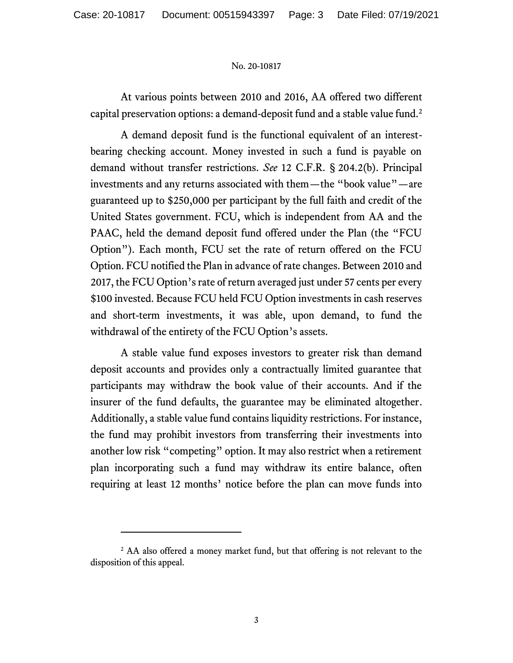At various points between 2010 and 2016, AA offered two different capital preservation options: a demand-deposit fund and a stable value fund. 2

A demand deposit fund is the functional equivalent of an interestbearing checking account. Money invested in such a fund is payable on demand without transfer restrictions. *See* 12 C.F.R. § 204.2(b). Principal investments and any returns associated with them—the "book value"—are guaranteed up to \$250,000 per participant by the full faith and credit of the United States government. FCU, which is independent from AA and the PAAC, held the demand deposit fund offered under the Plan (the "FCU Option"). Each month, FCU set the rate of return offered on the FCU Option. FCU notified the Plan in advance of rate changes. Between 2010 and 2017, the FCU Option's rate of return averaged just under 57 cents per every \$100 invested. Because FCU held FCU Option investments in cash reserves and short-term investments, it was able, upon demand, to fund the withdrawal of the entirety of the FCU Option's assets.

A stable value fund exposes investors to greater risk than demand deposit accounts and provides only a contractually limited guarantee that participants may withdraw the book value of their accounts. And if the insurer of the fund defaults, the guarantee may be eliminated altogether. Additionally, a stable value fund contains liquidity restrictions. For instance, the fund may prohibit investors from transferring their investments into another low risk "competing" option. It may also restrict when a retirement plan incorporating such a fund may withdraw its entire balance, often requiring at least 12 months' notice before the plan can move funds into

<sup>&</sup>lt;sup>2</sup> AA also offered a money market fund, but that offering is not relevant to the disposition of this appeal.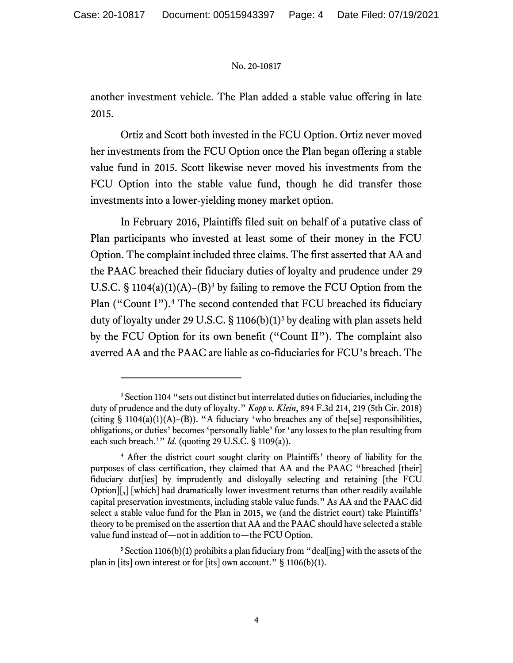another investment vehicle. The Plan added a stable value offering in late 2015.

Ortiz and Scott both invested in the FCU Option. Ortiz never moved her investments from the FCU Option once the Plan began offering a stable value fund in 2015. Scott likewise never moved his investments from the FCU Option into the stable value fund, though he did transfer those investments into a lower-yielding money market option.

In February 2016, Plaintiffs filed suit on behalf of a putative class of Plan participants who invested at least some of their money in the FCU Option. The complaint included three claims. The first asserted that AA and the PAAC breached their fiduciary duties of loyalty and prudence under 29 U.S.C. § 1104(a)(1)(A)–(B)<sup>3</sup> by failing to remove the FCU Option from the Plan ("Count I").<sup>4</sup> The second contended that FCU breached its fiduciary duty of loyalty under 29 U.S.C. § 1106(b)(1)<sup>5</sup> by dealing with plan assets held by the FCU Option for its own benefit ("Count II"). The complaint also averred AA and the PAAC are liable as co-fiduciaries for FCU's breach. The

<sup>&</sup>lt;sup>3</sup> Section 1104 "sets out distinct but interrelated duties on fiduciaries, including the duty of prudence and the duty of loyalty." *Kopp v. Klein*, 894 F.3d 214, 219 (5th Cir. 2018) (citing § 1104(a)(1)(A)–(B)). "A fiduciary 'who breaches any of the[se] responsibilities, obligations, or duties' becomes 'personally liable' for 'any losses to the plan resulting from each such breach.'" *Id.* (quoting 29 U.S.C. § 1109(a)).

<sup>4</sup> After the district court sought clarity on Plaintiffs' theory of liability for the purposes of class certification, they claimed that AA and the PAAC "breached [their] fiduciary dut[ies] by imprudently and disloyally selecting and retaining [the FCU Option][,] [which] had dramatically lower investment returns than other readily available capital preservation investments, including stable value funds." As AA and the PAAC did select a stable value fund for the Plan in 2015, we (and the district court) take Plaintiffs' theory to be premised on the assertion that AA and the PAAC should have selected a stable value fund instead of—not in addition to—the FCU Option.

 $5$  Section 1106(b)(1) prohibits a plan fiduciary from "deal[ing] with the assets of the plan in [its] own interest or for [its] own account."  $\S$  1106(b)(1).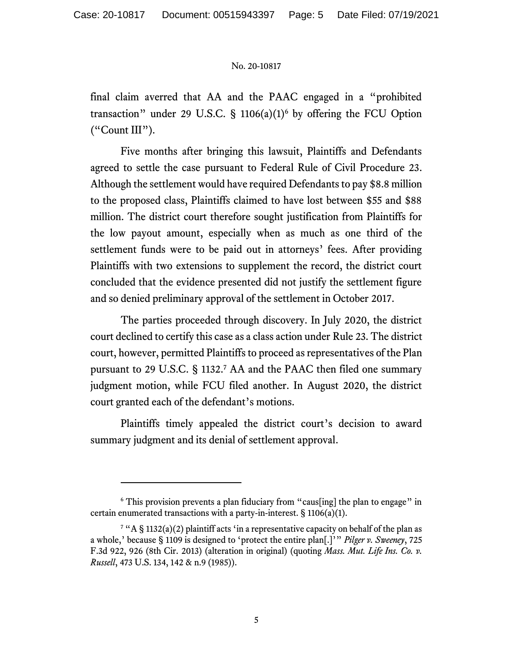final claim averred that AA and the PAAC engaged in a "prohibited transaction" under 29 U.S.C.  $\S$  1106(a)(1)<sup>6</sup> by offering the FCU Option ("Count III").

Five months after bringing this lawsuit, Plaintiffs and Defendants agreed to settle the case pursuant to Federal Rule of Civil Procedure 23. Although the settlement would have required Defendants to pay \$8.8 million to the proposed class, Plaintiffs claimed to have lost between \$55 and \$88 million. The district court therefore sought justification from Plaintiffs for the low payout amount, especially when as much as one third of the settlement funds were to be paid out in attorneys' fees. After providing Plaintiffs with two extensions to supplement the record, the district court concluded that the evidence presented did not justify the settlement figure and so denied preliminary approval of the settlement in October 2017.

The parties proceeded through discovery. In July 2020, the district court declined to certify this case as a class action under Rule 23. The district court, however, permitted Plaintiffs to proceed as representatives of the Plan pursuant to 29 U.S.C. § 1132.<sup>7</sup> AA and the PAAC then filed one summary judgment motion, while FCU filed another. In August 2020, the district court granted each of the defendant's motions.

Plaintiffs timely appealed the district court's decision to award summary judgment and its denial of settlement approval.

<sup>&</sup>lt;sup>6</sup> This provision prevents a plan fiduciary from "caus[ing] the plan to engage" in certain enumerated transactions with a party-in-interest.  $\S 1106(a)(1)$ .

<sup>&</sup>lt;sup>7</sup> "A § 1132(a)(2) plaintiff acts 'in a representative capacity on behalf of the plan as a whole,' because § 1109 is designed to 'protect the entire plan[.]'" *Pilger v. Sweeney*, 725 F.3d 922, 926 (8th Cir. 2013) (alteration in original) (quoting *Mass. Mut. Life Ins. Co. v. Russell*, 473 U.S. 134, 142 & n.9 (1985)).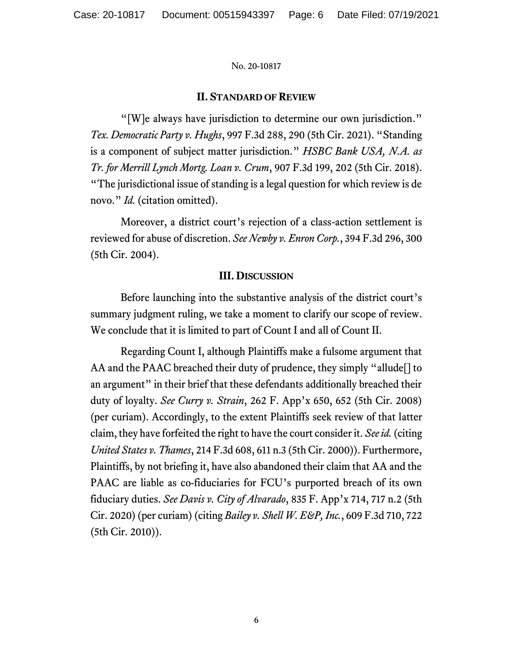## **II. STANDARD OF REVIEW**

"[W]e always have jurisdiction to determine our own jurisdiction." *Tex. Democratic Party v. Hughs*, 997 F.3d 288, 290 (5th Cir. 2021). "Standing is a component of subject matter jurisdiction." *HSBC Bank USA, N.A. as Tr. for Merrill Lynch Mortg. Loan v. Crum*, 907 F.3d 199, 202 (5th Cir. 2018). "The jurisdictional issue of standing is a legal question for which review is de novo." *Id.* (citation omitted).

Moreover, a district court's rejection of a class-action settlement is reviewed for abuse of discretion. *See Newby v. Enron Corp.*, 394 F.3d 296, 300 (5th Cir. 2004).

## **III. DISCUSSION**

Before launching into the substantive analysis of the district court's summary judgment ruling, we take a moment to clarify our scope of review. We conclude that it is limited to part of Count I and all of Count II.

Regarding Count I, although Plaintiffs make a fulsome argument that AA and the PAAC breached their duty of prudence, they simply "allude[] to an argument" in their brief that these defendants additionally breached their duty of loyalty. *See Curry v. Strain*, 262 F. App'x 650, 652 (5th Cir. 2008) (per curiam). Accordingly, to the extent Plaintiffs seek review of that latter claim, they have forfeited the right to have the court consider it. *See id.* (citing *United States v. Thames*, 214 F.3d 608, 611 n.3 (5th Cir. 2000)). Furthermore, Plaintiffs, by not briefing it, have also abandoned their claim that AA and the PAAC are liable as co-fiduciaries for FCU's purported breach of its own fiduciary duties. *See Davis v. City of Alvarado*, 835 F. App'x 714, 717 n.2 (5th Cir. 2020) (per curiam) (citing *Bailey v. Shell W. E&P, Inc.*, 609 F.3d 710, 722 (5th Cir. 2010)).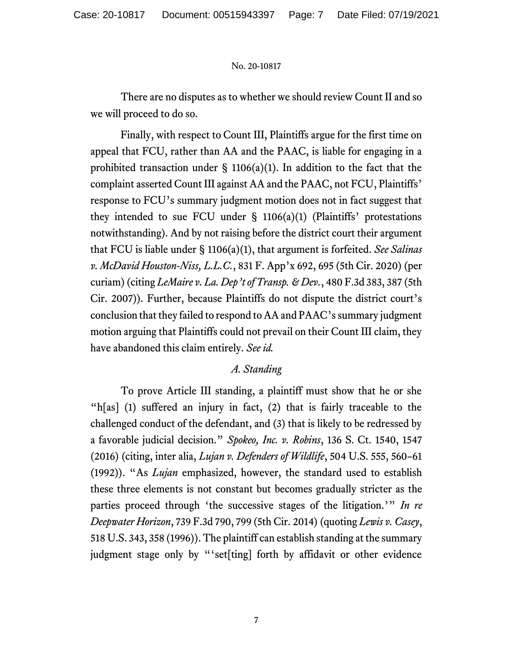There are no disputes as to whether we should review Count II and so we will proceed to do so.

Finally, with respect to Count III, Plaintiffs argue for the first time on appeal that FCU, rather than AA and the PAAC, is liable for engaging in a prohibited transaction under  $\S$  1106(a)(1). In addition to the fact that the complaint asserted Count III against AA and the PAAC, not FCU, Plaintiffs' response to FCU's summary judgment motion does not in fact suggest that they intended to sue FCU under  $\S$  1106(a)(1) (Plaintiffs' protestations notwithstanding). And by not raising before the district court their argument that FCU is liable under § 1106(a)(1), that argument is forfeited. *See Salinas v. McDavid Houston-Niss, L.L.C.*, 831 F. App'x 692, 695 (5th Cir. 2020) (per curiam) (citing *LeMaire v. La. Dep't of Transp. & Dev.*, 480 F.3d 383, 387 (5th Cir. 2007)). Further, because Plaintiffs do not dispute the district court's conclusion that they failed to respond to AA and PAAC's summary judgment motion arguing that Plaintiffs could not prevail on their Count III claim, they have abandoned this claim entirely. *See id.*

# *A. Standing*

To prove Article III standing, a plaintiff must show that he or she "h[as] (1) suffered an injury in fact, (2) that is fairly traceable to the challenged conduct of the defendant, and (3) that is likely to be redressed by a favorable judicial decision." *Spokeo, Inc. v. Robins*, 136 S. Ct. 1540, 1547 (2016) (citing, inter alia, *Lujan v. Defenders of Wildlife*, 504 U.S. 555, 560–61 (1992)). "As *Lujan* emphasized, however, the standard used to establish these three elements is not constant but becomes gradually stricter as the parties proceed through 'the successive stages of the litigation.'" *In re Deepwater Horizon*, 739 F.3d 790, 799 (5th Cir. 2014) (quoting *Lewis v. Casey*, 518 U.S. 343, 358 (1996)). The plaintiff can establish standing at the summary judgment stage only by "'set[ting] forth by affidavit or other evidence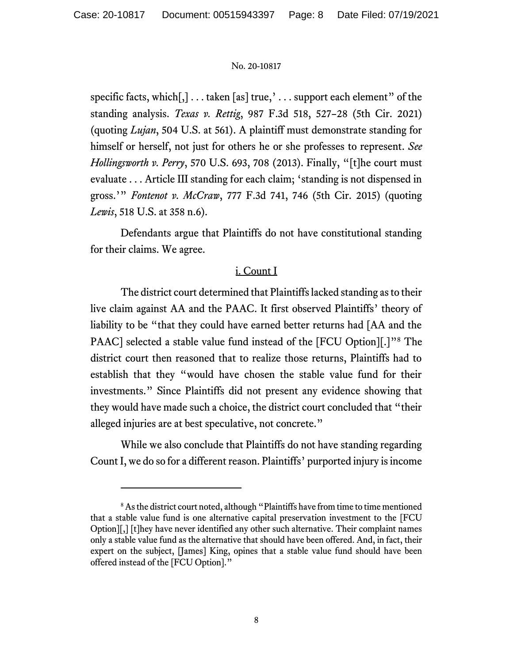specific facts, which[,] . . . taken [as] true,' . . . support each element" of the standing analysis. *Texas v. Rettig*, 987 F.3d 518, 527–28 (5th Cir. 2021) (quoting *Lujan*, 504 U.S. at 561). A plaintiff must demonstrate standing for himself or herself, not just for others he or she professes to represent. *See Hollingsworth v. Perry*, 570 U.S. 693, 708 (2013). Finally, "[t]he court must evaluate . . . Article III standing for each claim; 'standing is not dispensed in gross.'" *Fontenot v. McCraw*, 777 F.3d 741, 746 (5th Cir. 2015) (quoting *Lewis*, 518 U.S. at 358 n.6).

Defendants argue that Plaintiffs do not have constitutional standing for their claims. We agree.

## i. Count I

The district court determined that Plaintiffs lacked standing as to their live claim against AA and the PAAC. It first observed Plaintiffs' theory of liability to be "that they could have earned better returns had [AA and the PAAC] selected a stable value fund instead of the [FCU Option][.]"<sup>8</sup> The district court then reasoned that to realize those returns, Plaintiffs had to establish that they "would have chosen the stable value fund for their investments." Since Plaintiffs did not present any evidence showing that they would have made such a choice, the district court concluded that "their alleged injuries are at best speculative, not concrete."

While we also conclude that Plaintiffs do not have standing regarding Count I, we do so for a different reason. Plaintiffs' purported injury is income

<sup>&</sup>lt;sup>8</sup> As the district court noted, although "Plaintiffs have from time to time mentioned that a stable value fund is one alternative capital preservation investment to the [FCU Option][,] [t]hey have never identified any other such alternative. Their complaint names only a stable value fund as the alternative that should have been offered. And, in fact, their expert on the subject, [James] King, opines that a stable value fund should have been offered instead of the [FCU Option]."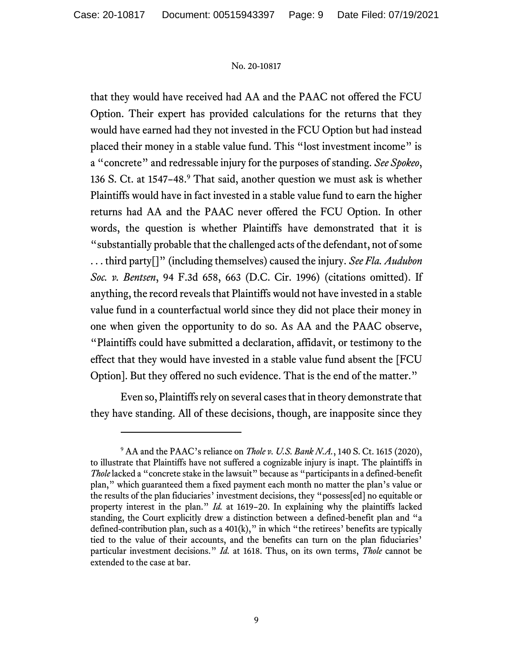that they would have received had AA and the PAAC not offered the FCU Option. Their expert has provided calculations for the returns that they would have earned had they not invested in the FCU Option but had instead placed their money in a stable value fund. This "lost investment income" is a "concrete" and redressable injury for the purposes of standing. *See Spokeo*, 136 S. Ct. at 1547-48.<sup>9</sup> That said, another question we must ask is whether Plaintiffs would have in fact invested in a stable value fund to earn the higher returns had AA and the PAAC never offered the FCU Option. In other words, the question is whether Plaintiffs have demonstrated that it is "substantially probable that the challenged acts of the defendant, not of some . . . third party[]" (including themselves) caused the injury. *See Fla. Audubon Soc. v. Bentsen*, 94 F.3d 658, 663 (D.C. Cir. 1996) (citations omitted). If anything, the record reveals that Plaintiffs would not have invested in a stable value fund in a counterfactual world since they did not place their money in one when given the opportunity to do so. As AA and the PAAC observe, "Plaintiffs could have submitted a declaration, affidavit, or testimony to the effect that they would have invested in a stable value fund absent the [FCU Option]. But they offered no such evidence. That is the end of the matter."

Even so, Plaintiffs rely on several cases that in theory demonstrate that they have standing. All of these decisions, though, are inapposite since they

<sup>9</sup> AA and the PAAC's reliance on *Thole v. U.S. Bank N.A.*, 140 S. Ct. 1615 (2020), to illustrate that Plaintiffs have not suffered a cognizable injury is inapt. The plaintiffs in *Thole* lacked a "concrete stake in the lawsuit" because as "participants in a defined-benefit plan," which guaranteed them a fixed payment each month no matter the plan's value or the results of the plan fiduciaries' investment decisions, they "possess[ed] no equitable or property interest in the plan." *Id.* at 1619–20. In explaining why the plaintiffs lacked standing, the Court explicitly drew a distinction between a defined-benefit plan and "a defined-contribution plan, such as a  $401(k)$ ," in which "the retirees' benefits are typically tied to the value of their accounts, and the benefits can turn on the plan fiduciaries' particular investment decisions." *Id.* at 1618. Thus, on its own terms, *Thole* cannot be extended to the case at bar.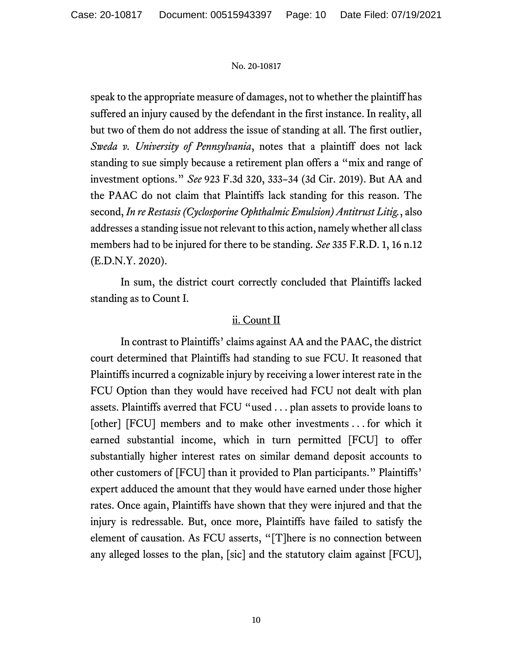speak to the appropriate measure of damages, not to whether the plaintiff has suffered an injury caused by the defendant in the first instance. In reality, all but two of them do not address the issue of standing at all. The first outlier, *Sweda v. University of Pennsylvania*, notes that a plaintiff does not lack standing to sue simply because a retirement plan offers a "mix and range of investment options." *See* 923 F.3d 320, 333–34 (3d Cir. 2019). But AA and the PAAC do not claim that Plaintiffs lack standing for this reason. The second, *In re Restasis (Cyclosporine Ophthalmic Emulsion) Antitrust Litig.*, also addresses a standing issue not relevant to this action, namely whether all class members had to be injured for there to be standing. *See* 335 F.R.D. 1, 16 n.12 (E.D.N.Y. 2020).

In sum, the district court correctly concluded that Plaintiffs lacked standing as to Count I.

## ii. Count II

In contrast to Plaintiffs' claims against AA and the PAAC, the district court determined that Plaintiffs had standing to sue FCU. It reasoned that Plaintiffs incurred a cognizable injury by receiving a lower interest rate in the FCU Option than they would have received had FCU not dealt with plan assets. Plaintiffs averred that FCU "used . . . plan assets to provide loans to [other] [FCU] members and to make other investments . . . for which it earned substantial income, which in turn permitted [FCU] to offer substantially higher interest rates on similar demand deposit accounts to other customers of [FCU] than it provided to Plan participants." Plaintiffs' expert adduced the amount that they would have earned under those higher rates. Once again, Plaintiffs have shown that they were injured and that the injury is redressable. But, once more, Plaintiffs have failed to satisfy the element of causation. As FCU asserts, "[T]here is no connection between any alleged losses to the plan, [sic] and the statutory claim against [FCU],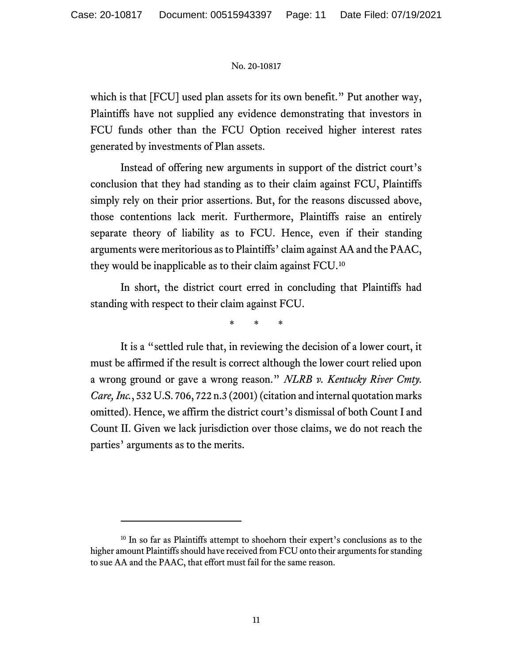which is that [FCU] used plan assets for its own benefit." Put another way, Plaintiffs have not supplied any evidence demonstrating that investors in FCU funds other than the FCU Option received higher interest rates generated by investments of Plan assets.

Instead of offering new arguments in support of the district court's conclusion that they had standing as to their claim against FCU, Plaintiffs simply rely on their prior assertions. But, for the reasons discussed above, those contentions lack merit. Furthermore, Plaintiffs raise an entirely separate theory of liability as to FCU. Hence, even if their standing arguments were meritorious as to Plaintiffs' claim against AA and the PAAC, they would be inapplicable as to their claim against FCU.<sup>10</sup>

In short, the district court erred in concluding that Plaintiffs had standing with respect to their claim against FCU.

\* \* \*

It is a "settled rule that, in reviewing the decision of a lower court, it must be affirmed if the result is correct although the lower court relied upon a wrong ground or gave a wrong reason." *NLRB v. Kentucky River Cmty. Care, Inc.*, 532 U.S. 706, 722 n.3 (2001) (citation and internal quotation marks omitted). Hence, we affirm the district court's dismissal of both Count I and Count II. Given we lack jurisdiction over those claims, we do not reach the parties' arguments as to the merits.

<sup>&</sup>lt;sup>10</sup> In so far as Plaintiffs attempt to shoehorn their expert's conclusions as to the higher amount Plaintiffs should have received from FCU onto their arguments for standing to sue AA and the PAAC, that effort must fail for the same reason.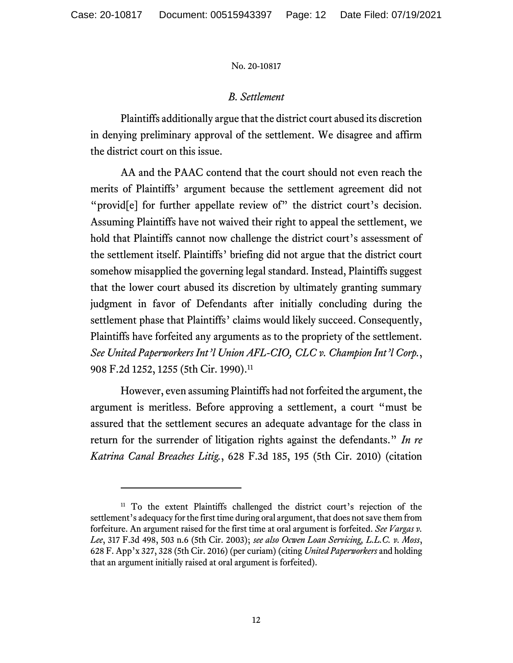## *B. Settlement*

Plaintiffs additionally argue that the district court abused its discretion in denying preliminary approval of the settlement. We disagree and affirm the district court on this issue.

AA and the PAAC contend that the court should not even reach the merits of Plaintiffs' argument because the settlement agreement did not "provid<sup>[e]</sup> for further appellate review of" the district court's decision. Assuming Plaintiffs have not waived their right to appeal the settlement, we hold that Plaintiffs cannot now challenge the district court's assessment of the settlement itself. Plaintiffs' briefing did not argue that the district court somehow misapplied the governing legal standard. Instead, Plaintiffs suggest that the lower court abused its discretion by ultimately granting summary judgment in favor of Defendants after initially concluding during the settlement phase that Plaintiffs' claims would likely succeed. Consequently, Plaintiffs have forfeited any arguments as to the propriety of the settlement. *See United Paperworkers Int'l Union AFL-CIO, CLC v. Champion Int'l Corp.*, 908 F.2d 1252, 1255 (5th Cir. 1990).<sup>11</sup>

However, even assuming Plaintiffs had not forfeited the argument, the argument is meritless. Before approving a settlement, a court "must be assured that the settlement secures an adequate advantage for the class in return for the surrender of litigation rights against the defendants." *In re Katrina Canal Breaches Litig.*, 628 F.3d 185, 195 (5th Cir. 2010) (citation

<sup>&</sup>lt;sup>11</sup> To the extent Plaintiffs challenged the district court's rejection of the settlement's adequacy for the first time during oral argument, that does not save them from forfeiture. An argument raised for the first time at oral argument is forfeited. *See Vargas v. Lee*, 317 F.3d 498, 503 n.6 (5th Cir. 2003); *see also Ocwen Loan Servicing, L.L.C. v. Moss*, 628 F. App'x 327, 328 (5th Cir. 2016) (per curiam) (citing *United Paperworkers* and holding that an argument initially raised at oral argument is forfeited).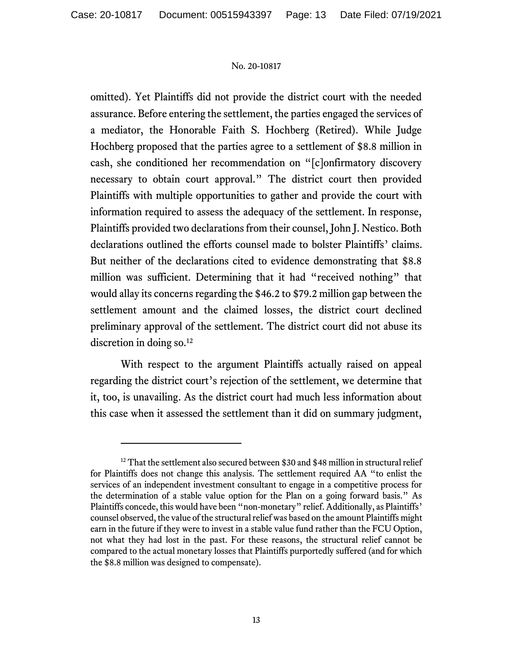omitted). Yet Plaintiffs did not provide the district court with the needed assurance. Before entering the settlement, the parties engaged the services of a mediator, the Honorable Faith S. Hochberg (Retired). While Judge Hochberg proposed that the parties agree to a settlement of \$8.8 million in cash, she conditioned her recommendation on "[c]onfirmatory discovery necessary to obtain court approval." The district court then provided Plaintiffs with multiple opportunities to gather and provide the court with information required to assess the adequacy of the settlement. In response, Plaintiffs provided two declarations from their counsel, John J. Nestico. Both declarations outlined the efforts counsel made to bolster Plaintiffs' claims. But neither of the declarations cited to evidence demonstrating that \$8.8 million was sufficient. Determining that it had "received nothing" that would allay its concerns regarding the \$46.2 to \$79.2 million gap between the settlement amount and the claimed losses, the district court declined preliminary approval of the settlement. The district court did not abuse its discretion in doing so.<sup>12</sup>

With respect to the argument Plaintiffs actually raised on appeal regarding the district court's rejection of the settlement, we determine that it, too, is unavailing. As the district court had much less information about this case when it assessed the settlement than it did on summary judgment,

 $12$  That the settlement also secured between \$30 and \$48 million in structural relief for Plaintiffs does not change this analysis. The settlement required AA "to enlist the services of an independent investment consultant to engage in a competitive process for the determination of a stable value option for the Plan on a going forward basis." As Plaintiffs concede, this would have been "non-monetary" relief. Additionally, as Plaintiffs' counsel observed, the value of the structural relief was based on the amount Plaintiffs might earn in the future if they were to invest in a stable value fund rather than the FCU Option, not what they had lost in the past. For these reasons, the structural relief cannot be compared to the actual monetary losses that Plaintiffs purportedly suffered (and for which the \$8.8 million was designed to compensate).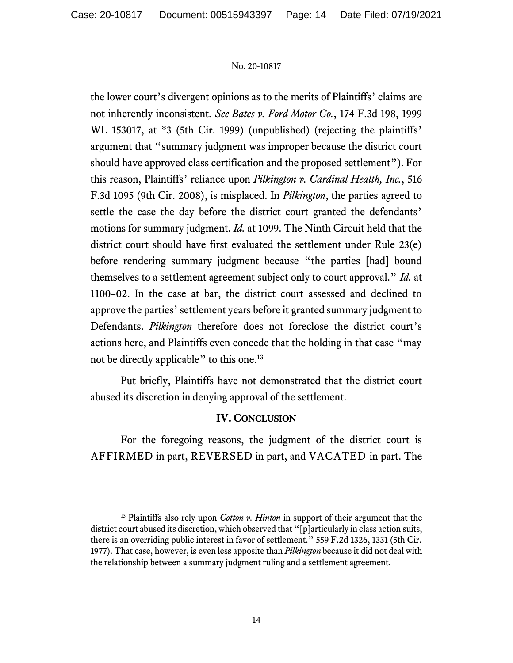the lower court's divergent opinions as to the merits of Plaintiffs' claims are not inherently inconsistent. *See Bates v. Ford Motor Co.*, 174 F.3d 198, 1999 WL 153017, at \*3 (5th Cir. 1999) (unpublished) (rejecting the plaintiffs' argument that "summary judgment was improper because the district court should have approved class certification and the proposed settlement"). For this reason, Plaintiffs' reliance upon *Pilkington v. Cardinal Health, Inc.*, 516 F.3d 1095 (9th Cir. 2008), is misplaced. In *Pilkington*, the parties agreed to settle the case the day before the district court granted the defendants' motions for summary judgment. *Id.* at 1099. The Ninth Circuit held that the district court should have first evaluated the settlement under Rule 23(e) before rendering summary judgment because "the parties [had] bound themselves to a settlement agreement subject only to court approval." *Id.* at 1100–02. In the case at bar, the district court assessed and declined to approve the parties' settlement years before it granted summary judgment to Defendants. *Pilkington* therefore does not foreclose the district court's actions here, and Plaintiffs even concede that the holding in that case "may not be directly applicable" to this one.<sup>13</sup>

Put briefly, Plaintiffs have not demonstrated that the district court abused its discretion in denying approval of the settlement.

## **IV. CONCLUSION**

For the foregoing reasons, the judgment of the district court is AFFIRMED in part, REVERSED in part, and VACATED in part. The

<sup>13</sup> Plaintiffs also rely upon *Cotton v. Hinton* in support of their argument that the district court abused its discretion, which observed that "[p]articularly in class action suits, there is an overriding public interest in favor of settlement." 559 F.2d 1326, 1331 (5th Cir. 1977). That case, however, is even less apposite than *Pilkington* because it did not deal with the relationship between a summary judgment ruling and a settlement agreement.